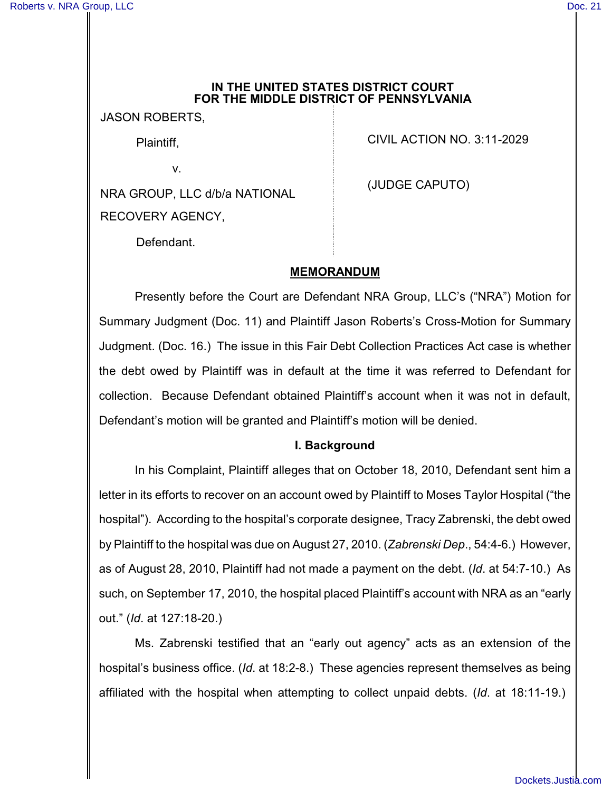### **IN THE UNITED STATES DISTRICT COURT FOR THE MIDDLE DISTRICT OF PENNSYLVANIA**

JASON ROBERTS,

Plaintiff,

v.

NRA GROUP, LLC d/b/a NATIONAL RECOVERY AGENCY,

CIVIL ACTION NO. 3:11-2029

(JUDGE CAPUTO)

Defendant.

# **MEMORANDUM**

Presently before the Court are Defendant NRA Group, LLC's ("NRA") Motion for Summary Judgment (Doc. 11) and Plaintiff Jason Roberts's Cross-Motion for Summary Judgment. (Doc. 16.) The issue in this Fair Debt Collection Practices Act case is whether the debt owed by Plaintiff was in default at the time it was referred to Defendant for collection. Because Defendant obtained Plaintiff's account when it was not in default, Defendant's motion will be granted and Plaintiff's motion will be denied.

# **I. Background**

In his Complaint, Plaintiff alleges that on October 18, 2010, Defendant sent him a letter in its efforts to recover on an account owed by Plaintiff to Moses Taylor Hospital ("the hospital"). According to the hospital's corporate designee, Tracy Zabrenski, the debt owed by Plaintiff to the hospital was due on August 27, 2010. (*Zabrenski Dep*., 54:4-6.) However, as of August 28, 2010, Plaintiff had not made a payment on the debt. (*Id*. at 54:7-10.) As such, on September 17, 2010, the hospital placed Plaintiff's account with NRA as an "early out." (*Id*. at 127:18-20.)

Ms. Zabrenski testified that an "early out agency" acts as an extension of the hospital's business office. (*Id*. at 18:2-8.) These agencies represent themselves as being affiliated with the hospital when attempting to collect unpaid debts. (*Id*. at 18:11-19.)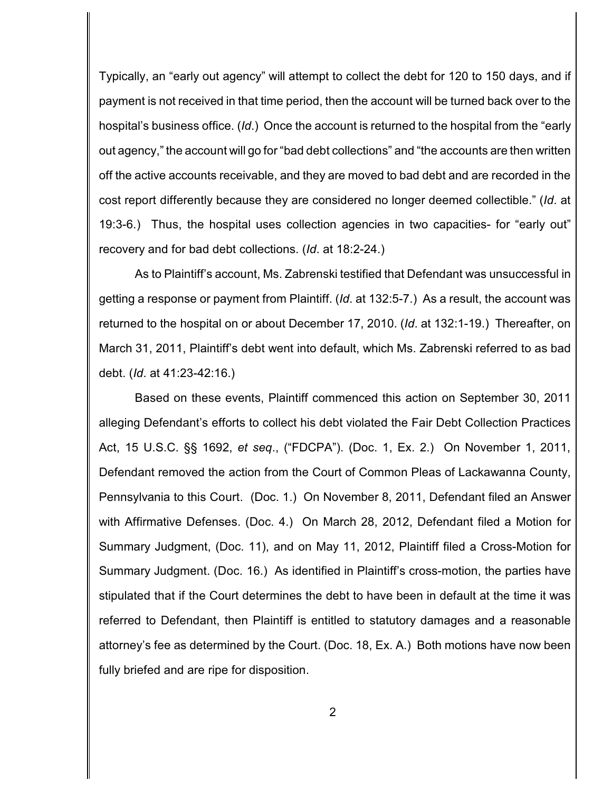Typically, an "early out agency" will attempt to collect the debt for 120 to 150 days, and if payment is not received in that time period, then the account will be turned back over to the hospital's business office. (*Id*.) Once the account is returned to the hospital from the "early out agency," the account will go for "bad debt collections" and "the accounts are then written off the active accounts receivable, and they are moved to bad debt and are recorded in the cost report differently because they are considered no longer deemed collectible." (*Id*. at 19:3-6.) Thus, the hospital uses collection agencies in two capacities- for "early out" recovery and for bad debt collections. (*Id*. at 18:2-24.)

As to Plaintiff's account, Ms. Zabrenski testified that Defendant was unsuccessful in getting a response or payment from Plaintiff. (*Id*. at 132:5-7.) As a result, the account was returned to the hospital on or about December 17, 2010. (*Id*. at 132:1-19.) Thereafter, on March 31, 2011, Plaintiff's debt went into default, which Ms. Zabrenski referred to as bad debt. (*Id*. at 41:23-42:16.)

Based on these events, Plaintiff commenced this action on September 30, 2011 alleging Defendant's efforts to collect his debt violated the Fair Debt Collection Practices Act, 15 U.S.C. §§ 1692, *et seq*., ("FDCPA"). (Doc. 1, Ex. 2.) On November 1, 2011, Defendant removed the action from the Court of Common Pleas of Lackawanna County, Pennsylvania to this Court. (Doc. 1.) On November 8, 2011, Defendant filed an Answer with Affirmative Defenses. (Doc. 4.) On March 28, 2012, Defendant filed a Motion for Summary Judgment, (Doc. 11), and on May 11, 2012, Plaintiff filed a Cross-Motion for Summary Judgment. (Doc. 16.) As identified in Plaintiff's cross-motion, the parties have stipulated that if the Court determines the debt to have been in default at the time it was referred to Defendant, then Plaintiff is entitled to statutory damages and a reasonable attorney's fee as determined by the Court. (Doc. 18, Ex. A.) Both motions have now been fully briefed and are ripe for disposition.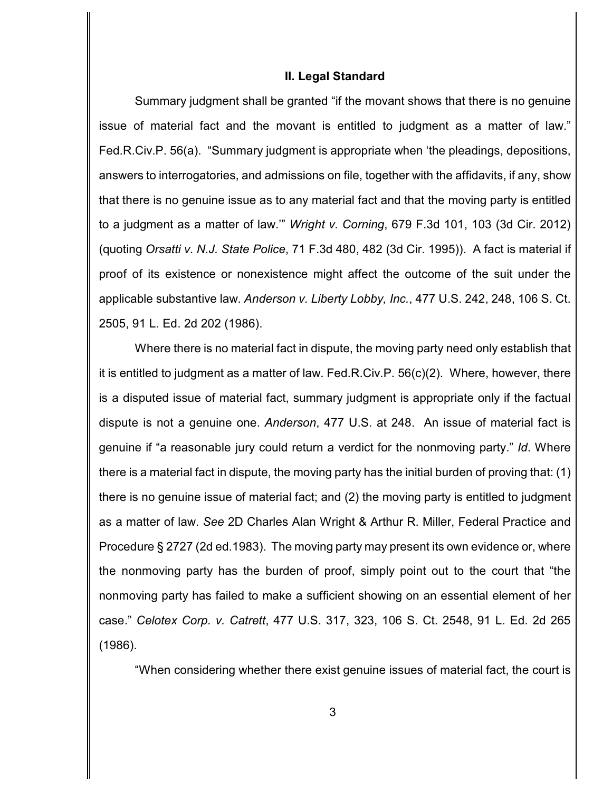#### **II. Legal Standard**

Summary judgment shall be granted "if the movant shows that there is no genuine issue of material fact and the movant is entitled to judgment as a matter of law." Fed.R.Civ.P. 56(a). "Summary judgment is appropriate when 'the pleadings, depositions, answers to interrogatories, and admissions on file, together with the affidavits, if any, show that there is no genuine issue as to any material fact and that the moving party is entitled to a judgment as a matter of law.'" *Wright v. Corning*, 679 F.3d 101, 103 (3d Cir. 2012) (quoting *Orsatti v. N.J. State Police*, 71 F.3d 480, 482 (3d Cir. 1995)). A fact is material if proof of its existence or nonexistence might affect the outcome of the suit under the applicable substantive law. *Anderson v. Liberty Lobby, Inc.*, 477 U.S. 242, 248, 106 S. Ct. 2505, 91 L. Ed. 2d 202 (1986).

Where there is no material fact in dispute, the moving party need only establish that it is entitled to judgment as a matter of law. Fed.R.Civ.P. 56(c)(2). Where, however, there is a disputed issue of material fact, summary judgment is appropriate only if the factual dispute is not a genuine one. *Anderson*, 477 U.S. at 248. An issue of material fact is genuine if "a reasonable jury could return a verdict for the nonmoving party." *Id*. Where there is a material fact in dispute, the moving party has the initial burden of proving that: (1) there is no genuine issue of material fact; and (2) the moving party is entitled to judgment as a matter of law. *See* 2D Charles Alan Wright & Arthur R. Miller, Federal Practice and Procedure § 2727 (2d ed.1983). The moving party may present its own evidence or, where the nonmoving party has the burden of proof, simply point out to the court that "the nonmoving party has failed to make a sufficient showing on an essential element of her case." *Celotex Corp. v. Catrett*, 477 U.S. 317, 323, 106 S. Ct. 2548, 91 L. Ed. 2d 265 (1986).

"When considering whether there exist genuine issues of material fact, the court is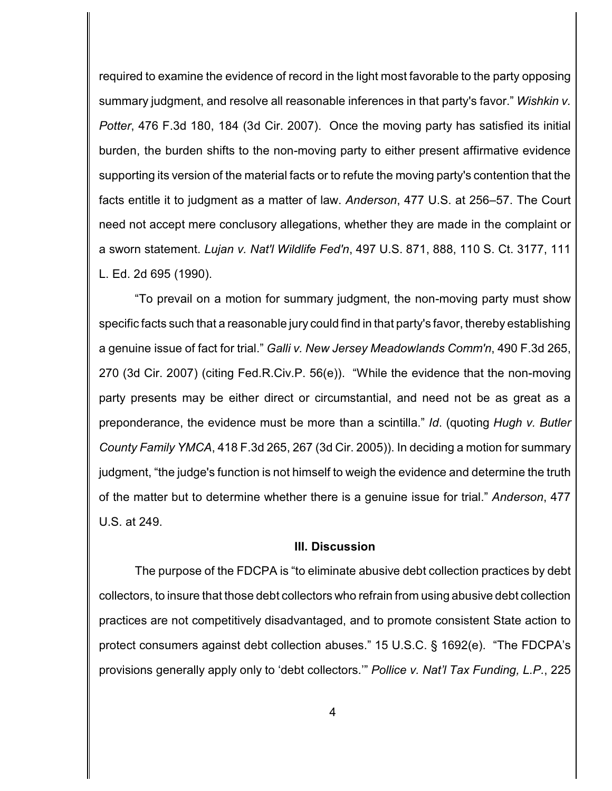required to examine the evidence of record in the light most favorable to the party opposing summary judgment, and resolve all reasonable inferences in that party's favor." *Wishkin v. Potter*, 476 F.3d 180, 184 (3d Cir. 2007). Once the moving party has satisfied its initial burden, the burden shifts to the non-moving party to either present affirmative evidence supporting its version of the material facts or to refute the moving party's contention that the facts entitle it to judgment as a matter of law. *Anderson*, 477 U.S. at 256–57. The Court need not accept mere conclusory allegations, whether they are made in the complaint or a sworn statement. *Lujan v. Nat'l Wildlife Fed'n*, 497 U.S. 871, 888, 110 S. Ct. 3177, 111 L. Ed. 2d 695 (1990).

"To prevail on a motion for summary judgment, the non-moving party must show specific facts such that a reasonable jury could find in that party's favor, thereby establishing a genuine issue of fact for trial." *Galli v. New Jersey Meadowlands Comm'n*, 490 F.3d 265, 270 (3d Cir. 2007) (citing Fed.R.Civ.P. 56(e)). "While the evidence that the non-moving party presents may be either direct or circumstantial, and need not be as great as a preponderance, the evidence must be more than a scintilla." *Id*. (quoting *Hugh v. Butler County Family YMCA*, 418 F.3d 265, 267 (3d Cir. 2005)). In deciding a motion for summary judgment, "the judge's function is not himself to weigh the evidence and determine the truth of the matter but to determine whether there is a genuine issue for trial." *Anderson*, 477 U.S. at 249.

### **III. Discussion**

The purpose of the FDCPA is "to eliminate abusive debt collection practices by debt collectors, to insure that those debt collectors who refrain from using abusive debt collection practices are not competitively disadvantaged, and to promote consistent State action to protect consumers against debt collection abuses." 15 U.S.C. § 1692(e). "The FDCPA's provisions generally apply only to 'debt collectors.'" *Pollice v. Nat'l Tax Funding, L.P.*, 225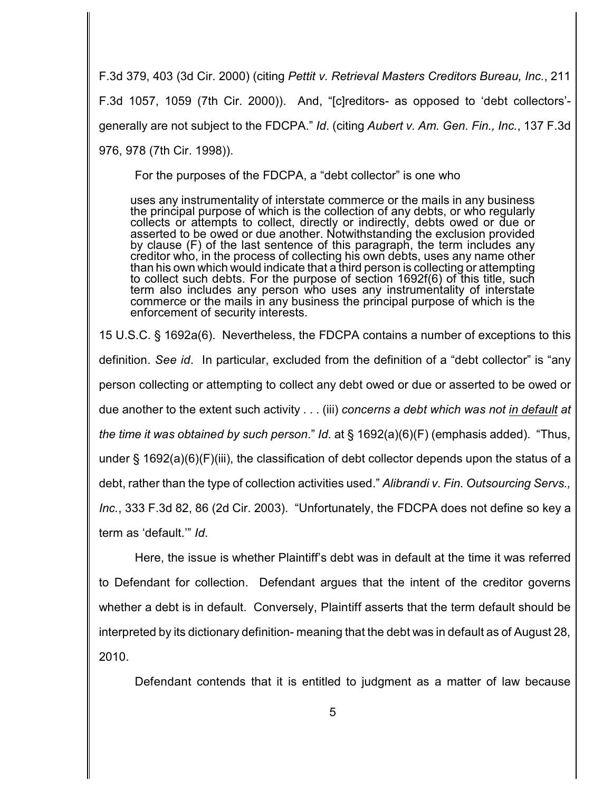F.3d 379, 403 (3d Cir. 2000) (citing *Pettit v. Retrieval Masters Creditors Bureau, Inc.*, 211 F.3d 1057, 1059 (7th Cir. 2000)). And, "[c]reditors- as opposed to 'debt collectors' generally are not subject to the FDCPA." *Id*. (citing *Aubert v. Am. Gen. Fin., Inc.*, 137 F.3d 976, 978 (7th Cir. 1998)).

For the purposes of the FDCPA, a "debt collector" is one who

uses any instrumentality of interstate commerce or the mails in any business the principal purpose of which is the collection of any debts, or who regularly collects or attempts to collect, directly or indirectly, debts owed or due or asserted to be owed or due another. Notwithstanding the exclusion provided by clause (F) of the last sentence of this paragraph, the term includes any creditor who, in the process of collecting his own debts, uses any name other than his own which would indicate that a third person is collecting or attempting to collect such debts. For the purpose of section 1692f(6) of this title, such term also includes any person who uses any instrumentality of interstate commerce or the mails in any business the principal purpose of which is the enforcement of security interests.

15 U.S.C. § 1692a(6). Nevertheless, the FDCPA contains a number of exceptions to this definition. *See id*. In particular, excluded from the definition of a "debt collector" is "any person collecting or attempting to collect any debt owed or due or asserted to be owed or due another to the extent such activity . . . (iii) *concerns a debt which was not in default at the time it was obtained by such person*." *Id*. at § 1692(a)(6)(F) (emphasis added). "Thus, under § 1692(a)(6)(F)(iii), the classification of debt collector depends upon the status of a debt, rather than the type of collection activities used." *Alibrandi v. Fin. Outsourcing Servs., Inc.*, 333 F.3d 82, 86 (2d Cir. 2003). "Unfortunately, the FDCPA does not define so key a term as 'default.'" *Id*.

Here, the issue is whether Plaintiff's debt was in default at the time it was referred to Defendant for collection. Defendant argues that the intent of the creditor governs whether a debt is in default. Conversely, Plaintiff asserts that the term default should be interpreted by its dictionary definition- meaning that the debt was in default as of August 28, 2010.

Defendant contends that it is entitled to judgment as a matter of law because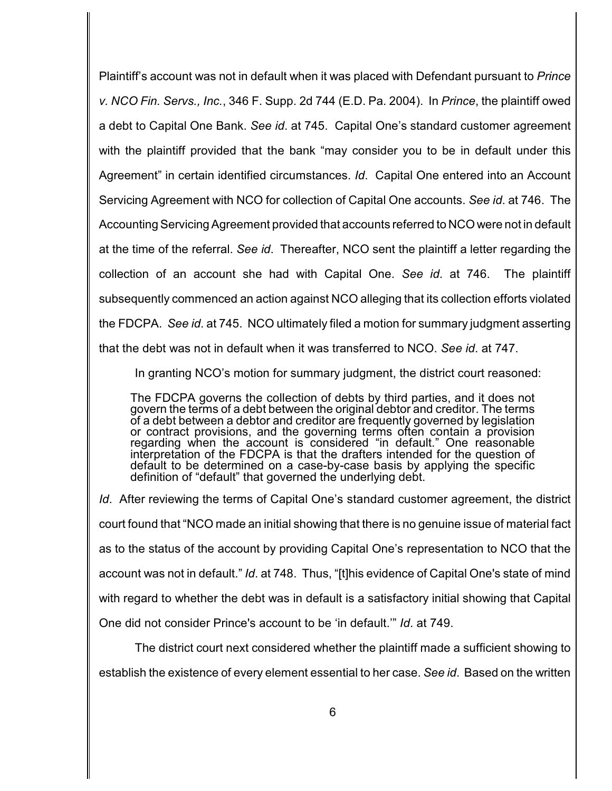Plaintiff's account was not in default when it was placed with Defendant pursuant to *Prince v. NCO Fin. Servs., Inc.*, 346 F. Supp. 2d 744 (E.D. Pa. 2004). In *Prince*, the plaintiff owed a debt to Capital One Bank. *See id*. at 745. Capital One's standard customer agreement with the plaintiff provided that the bank "may consider you to be in default under this Agreement" in certain identified circumstances. *Id*. Capital One entered into an Account Servicing Agreement with NCO for collection of Capital One accounts. *See id*. at 746. The Accounting Servicing Agreement provided that accounts referred to NCO were not in default at the time of the referral. *See id*. Thereafter, NCO sent the plaintiff a letter regarding the collection of an account she had with Capital One. *See id*. at 746. The plaintiff subsequently commenced an action against NCO alleging that its collection efforts violated the FDCPA. *See id*. at 745. NCO ultimately filed a motion for summary judgment asserting that the debt was not in default when it was transferred to NCO. *See id*. at 747.

In granting NCO's motion for summary judgment, the district court reasoned:

The FDCPA governs the collection of debts by third parties, and it does not govern the terms of a debt between the original debtor and creditor. The terms of a debt between a debtor and creditor are frequently governed by legislation or contract provisions, and the governing terms often contain a provision regarding when the account is considered "in default." One reasonable interpretation of the FDCPA is that the drafters intended for the question of default to be determined on a case-by-case basis by applying the specific definition of "default" that governed the underlying debt.

*Id*. After reviewing the terms of Capital One's standard customer agreement, the district court found that "NCO made an initial showing that there is no genuine issue of material fact as to the status of the account by providing Capital One's representation to NCO that the account was not in default." *Id*. at 748. Thus, "[t]his evidence of Capital One's state of mind with regard to whether the debt was in default is a satisfactory initial showing that Capital One did not consider Prince's account to be 'in default.'" *Id*. at 749.

The district court next considered whether the plaintiff made a sufficient showing to establish the existence of every element essential to her case. *See id*. Based on the written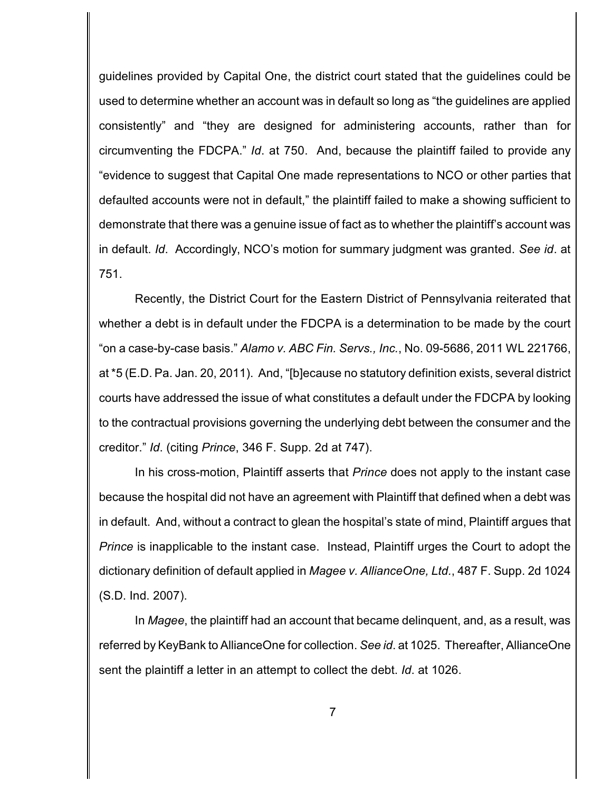guidelines provided by Capital One, the district court stated that the guidelines could be used to determine whether an account was in default so long as "the guidelines are applied consistently" and "they are designed for administering accounts, rather than for circumventing the FDCPA." *Id*. at 750. And, because the plaintiff failed to provide any "evidence to suggest that Capital One made representations to NCO or other parties that defaulted accounts were not in default," the plaintiff failed to make a showing sufficient to demonstrate that there was a genuine issue of fact as to whether the plaintiff's account was in default. *Id*. Accordingly, NCO's motion for summary judgment was granted. *See id*. at 751.

Recently, the District Court for the Eastern District of Pennsylvania reiterated that whether a debt is in default under the FDCPA is a determination to be made by the court "on a case-by-case basis." *Alamo v. ABC Fin. Servs., Inc.*, No. 09-5686, 2011 WL 221766, at \*5 (E.D. Pa. Jan. 20, 2011). And, "[b]ecause no statutory definition exists, several district courts have addressed the issue of what constitutes a default under the FDCPA by looking to the contractual provisions governing the underlying debt between the consumer and the creditor." *Id*. (citing *Prince*, 346 F. Supp. 2d at 747).

In his cross-motion, Plaintiff asserts that *Prince* does not apply to the instant case because the hospital did not have an agreement with Plaintiff that defined when a debt was in default. And, without a contract to glean the hospital's state of mind, Plaintiff argues that *Prince* is inapplicable to the instant case. Instead, Plaintiff urges the Court to adopt the dictionary definition of default applied in *Magee v. AllianceOne, Ltd.*, 487 F. Supp. 2d 1024 (S.D. Ind. 2007).

In *Magee*, the plaintiff had an account that became delinquent, and, as a result, was referred by KeyBank to AllianceOne for collection. *See id*. at 1025. Thereafter, AllianceOne sent the plaintiff a letter in an attempt to collect the debt. *Id*. at 1026.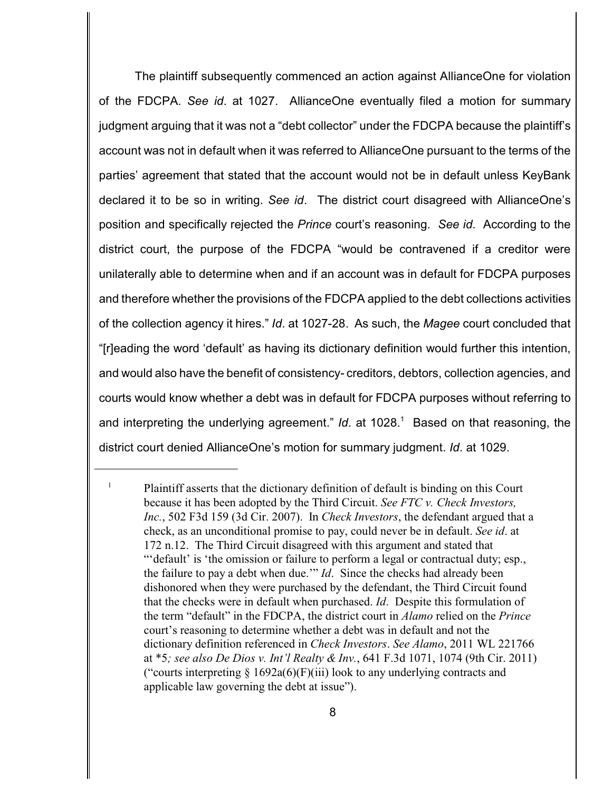The plaintiff subsequently commenced an action against AllianceOne for violation of the FDCPA. *See id*. at 1027. AllianceOne eventually filed a motion for summary judgment arguing that it was not a "debt collector" under the FDCPA because the plaintiff's account was not in default when it was referred to AllianceOne pursuant to the terms of the parties' agreement that stated that the account would not be in default unless KeyBank declared it to be so in writing. *See id*. The district court disagreed with AllianceOne's position and specifically rejected the *Prince* court's reasoning. *See id*. According to the district court, the purpose of the FDCPA "would be contravened if a creditor were unilaterally able to determine when and if an account was in default for FDCPA purposes and therefore whether the provisions of the FDCPA applied to the debt collections activities of the collection agency it hires." *Id*. at 1027-28. As such, the *Magee* court concluded that "[r]eading the word 'default' as having its dictionary definition would further this intention, and would also have the benefit of consistency- creditors, debtors, collection agencies, and courts would know whether a debt was in default for FDCPA purposes without referring to and interpreting the underlying agreement." *Id.* at 1028.<sup>1</sup> Based on that reasoning, the district court denied AllianceOne's motion for summary judgment. *Id*. at 1029.

 $\frac{1}{1}$  Plaintiff asserts that the dictionary definition of default is binding on this Court because it has been adopted by the Third Circuit. *See FTC v. Check Investors, Inc.*, 502 F3d 159 (3d Cir. 2007). In *Check Investors*, the defendant argued that a check, as an unconditional promise to pay, could never be in default. *See id*. at 172 n.12. The Third Circuit disagreed with this argument and stated that ""default' is 'the omission or failure to perform a legal or contractual duty; esp., the failure to pay a debt when due.'" *Id*. Since the checks had already been dishonored when they were purchased by the defendant, the Third Circuit found that the checks were in default when purchased. *Id*. Despite this formulation of the term "default" in the FDCPA, the district court in *Alamo* relied on the *Prince* court's reasoning to determine whether a debt was in default and not the dictionary definition referenced in *Check Investors*. *See Alamo*, 2011 WL 221766 at \*5*; see also De Dios v. Int'l Realty & Inv.*, 641 F.3d 1071, 1074 (9th Cir. 2011) ("courts interpreting  $\S 1692a(6)$ (F)(iii) look to any underlying contracts and applicable law governing the debt at issue").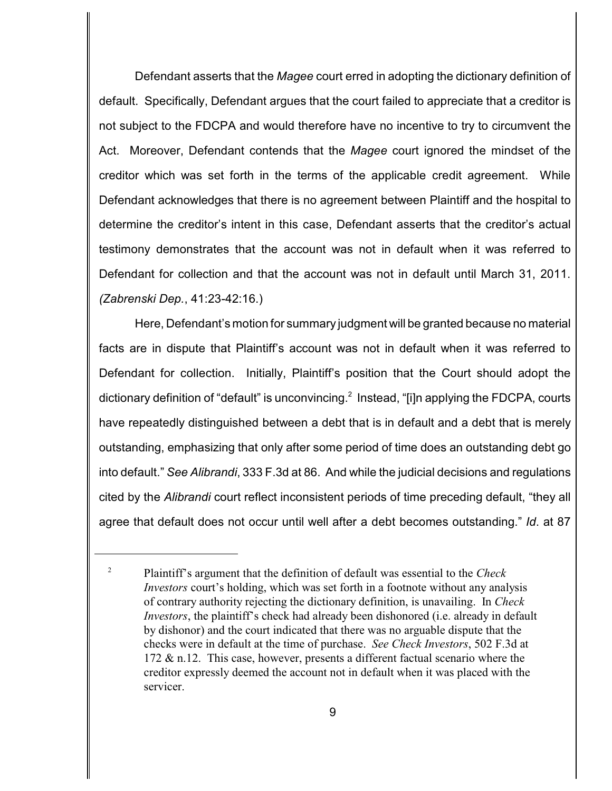Defendant asserts that the *Magee* court erred in adopting the dictionary definition of default. Specifically, Defendant argues that the court failed to appreciate that a creditor is not subject to the FDCPA and would therefore have no incentive to try to circumvent the Act. Moreover, Defendant contends that the *Magee* court ignored the mindset of the creditor which was set forth in the terms of the applicable credit agreement. While Defendant acknowledges that there is no agreement between Plaintiff and the hospital to determine the creditor's intent in this case, Defendant asserts that the creditor's actual testimony demonstrates that the account was not in default when it was referred to Defendant for collection and that the account was not in default until March 31, 2011. *(Zabrenski Dep.*, 41:23-42:16.)

Here, Defendant's motion for summary judgment will be granted because no material facts are in dispute that Plaintiff's account was not in default when it was referred to Defendant for collection. Initially, Plaintiff's position that the Court should adopt the dictionary definition of "default" is unconvincing. Instead, "[i]n applying the FDCPA, courts have repeatedly distinguished between a debt that is in default and a debt that is merely outstanding, emphasizing that only after some period of time does an outstanding debt go into default." *See Alibrandi*, 333 F.3d at 86. And while the judicial decisions and regulations cited by the *Alibrandi* court reflect inconsistent periods of time preceding default, "they all agree that default does not occur until well after a debt becomes outstanding." *Id*. at 87

Plaintiff's argument that the definition of default was essential to the *Check* <sup>2</sup> *Investors* court's holding, which was set forth in a footnote without any analysis of contrary authority rejecting the dictionary definition, is unavailing. In *Check Investors*, the plaintiff's check had already been dishonored (i.e. already in default by dishonor) and the court indicated that there was no arguable dispute that the checks were in default at the time of purchase. *See Check Investors*, 502 F.3d at 172 & n.12. This case, however, presents a different factual scenario where the creditor expressly deemed the account not in default when it was placed with the servicer.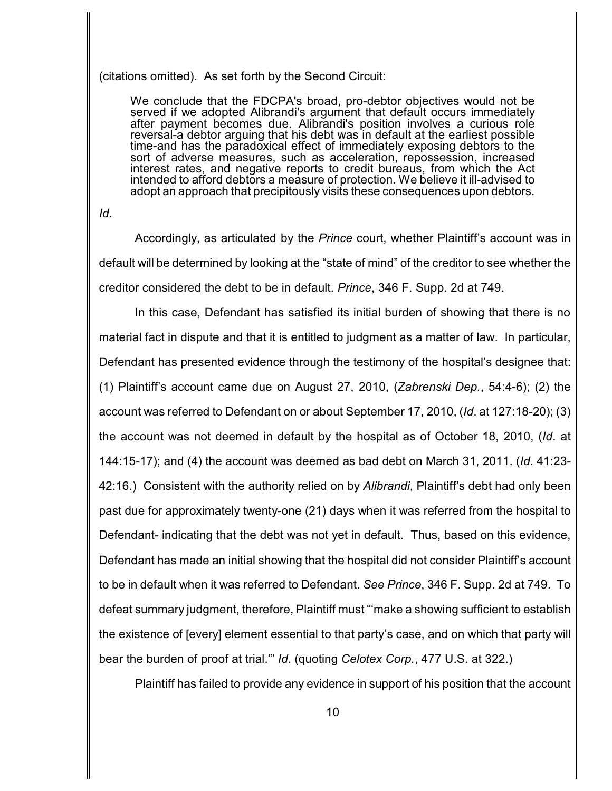#### (citations omitted). As set forth by the Second Circuit:

We conclude that the FDCPA's broad, pro-debtor objectives would not be served if we adopted Alibrandi's argument that default occurs immediately after payment becomes due. Alibrandi's position involves a curious role reversal-a debtor arguing that his debt was in default at the earliest possible time-and has the paradoxical effect of immediately exposing debtors to the sort of adverse measures, such as acceleration, repossession, increased interest rates, and negative reports to credit bureaus, from which the Act intended to afford debtors a measure of protection. We believe it ill-advised to adopt an approach that precipitously visits these consequences upon debtors.

*Id*.

Accordingly, as articulated by the *Prince* court, whether Plaintiff's account was in default will be determined by looking at the "state of mind" of the creditor to see whether the creditor considered the debt to be in default. *Prince*, 346 F. Supp. 2d at 749.

In this case, Defendant has satisfied its initial burden of showing that there is no material fact in dispute and that it is entitled to judgment as a matter of law. In particular, Defendant has presented evidence through the testimony of the hospital's designee that: (1) Plaintiff's account came due on August 27, 2010, (*Zabrenski Dep.*, 54:4-6); (2) the account was referred to Defendant on or about September 17, 2010, (*Id*. at 127:18-20); (3) the account was not deemed in default by the hospital as of October 18, 2010, (*Id*. at 144:15-17); and (4) the account was deemed as bad debt on March 31, 2011. (*Id*. 41:23- 42:16.) Consistent with the authority relied on by *Alibrandi*, Plaintiff's debt had only been past due for approximately twenty-one (21) days when it was referred from the hospital to Defendant- indicating that the debt was not yet in default. Thus, based on this evidence, Defendant has made an initial showing that the hospital did not consider Plaintiff's account to be in default when it was referred to Defendant. *See Prince*, 346 F. Supp. 2d at 749. To defeat summary judgment, therefore, Plaintiff must "'make a showing sufficient to establish the existence of [every] element essential to that party's case, and on which that party will bear the burden of proof at trial.'" *Id*. (quoting *Celotex Corp.*, 477 U.S. at 322.)

Plaintiff has failed to provide any evidence in support of his position that the account